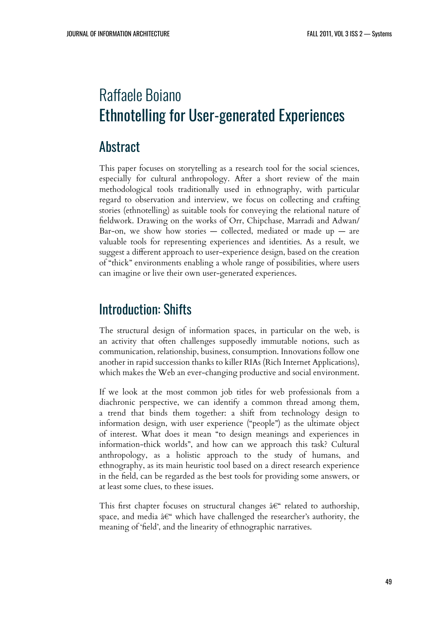# Raffaele Boiano Ethnotelling for User-generated Experiences

#### Abstract

This paper focuses on storytelling as a research tool for the social sciences, especially for cultural anthropology. After a short review of the main methodological tools traditionally used in ethnography, with particular regard to observation and interview, we focus on collecting and crafting stories (ethnotelling) as suitable tools for conveying the relational nature of fieldwork. Drawing on the works of Orr, Chipchase, Marradi and Adwan/ Bar-on, we show how stories  $-$  collected, mediated or made up  $-$  are valuable tools for representing experiences and identities. As a result, we suggest a different approach to user-experience design, based on the creation of "thick" environments enabling a whole range of possibilities, where users can imagine or live their own user-generated experiences.

## Introduction: Shifts

The structural design of information spaces, in particular on the web, is an activity that often challenges supposedly immutable notions, such as communication, relationship, business, consumption. Innovations follow one another in rapid succession thanks to killer RIAs (Rich Internet Applications), which makes the Web an ever-changing productive and social environment.

If we look at the most common job titles for web professionals from a diachronic perspective, we can identify a common thread among them, a trend that binds them together: a shift from technology design to information design, with user experience ("people") as the ultimate object of interest. What does it mean "to design meanings and experiences in information-thick worlds", and how can we approach this task? Cultural anthropology, as a holistic approach to the study of humans, and ethnography, as its main heuristic tool based on a direct research experience in the field, can be regarded as the best tools for providing some answers, or at least some clues, to these issues.

This first chapter focuses on structural changes  $\hat{a}\epsilon^*$  related to authorship, space, and media  $\hat{a}\in\hat{a}$  which have challenged the researcher's authority, the meaning of 'field', and the linearity of ethnographic narratives.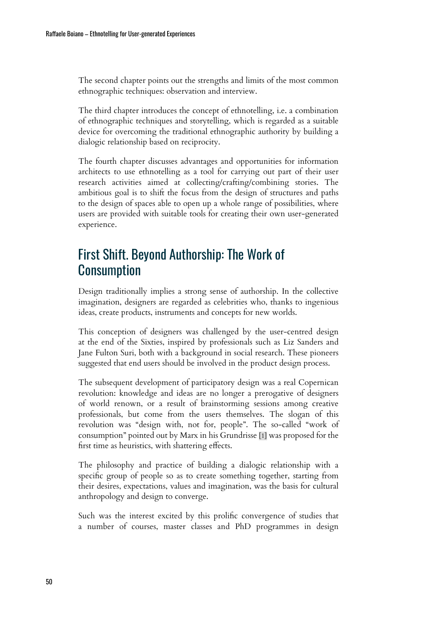The second chapter points out the strengths and limits of the most common ethnographic techniques: observation and interview.

The third chapter introduces the concept of ethnotelling, i.e. a combination of ethnographic techniques and storytelling, which is regarded as a suitable device for overcoming the traditional ethnographic authority by building a dialogic relationship based on reciprocity.

The fourth chapter discusses advantages and opportunities for information architects to use ethnotelling as a tool for carrying out part of their user research activities aimed at collecting/crafting/combining stories. The ambitious goal is to shift the focus from the design of structures and paths to the design of spaces able to open up a whole range of possibilities, where users are provided with suitable tools for creating their own user-generated experience.

## First Shift. Beyond Authorship: The Work of **Consumption**

Design traditionally implies a strong sense of authorship. In the collective imagination, designers are regarded as celebrities who, thanks to ingenious ideas, create products, instruments and concepts for new worlds.

This conception of designers was challenged by the user-centred design at the end of the Sixties, inspired by professionals such as Liz Sanders and Jane Fulton Suri, both with a background in social research. These pioneers suggested that end users should be involved in the product design process.

The subsequent development of participatory design was a real Copernican revolution: knowledge and ideas are no longer a prerogative of designers of world renown, or a result of brainstorming sessions among creative professionals, but come from the users themselves. The slogan of this revolution was "design with, not for, people". The so-called "work of consumption" pointed out by Marx in his Grundrisse [\[1\]](#page--1-0) was proposed for the first time as heuristics, with shattering effects.

The philosophy and practice of building a dialogic relationship with a specific group of people so as to create something together, starting from their desires, expectations, values and imagination, was the basis for cultural anthropology and design to converge.

Such was the interest excited by this prolific convergence of studies that a number of courses, master classes and PhD programmes in design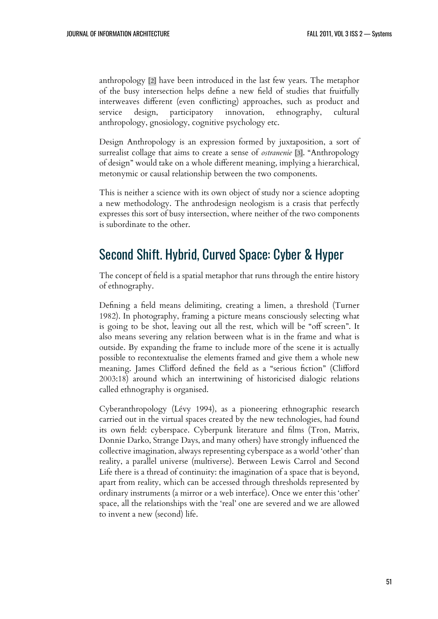anthropology [\[2\]](#page--1-1) have been introduced in the last few years. The metaphor of the busy intersection helps define a new field of studies that fruitfully interweaves different (even conflicting) approaches, such as product and service design, participatory innovation, ethnography, cultural anthropology, gnosiology, cognitive psychology etc.

Design Anthropology is an expression formed by juxtaposition, a sort of surrealist collage that aims to create a sense of *ostranenie* [\[3\]](#page--1-2). "Anthropology of design" would take on a whole different meaning, implying a hierarchical, metonymic or causal relationship between the two components.

This is neither a science with its own object of study nor a science adopting a new methodology. The anthrodesign neologism is a crasis that perfectly expresses this sort of busy intersection, where neither of the two components is subordinate to the other.

## Second Shift. Hybrid, Curved Space: Cyber & Hyper

The concept of field is a spatial metaphor that runs through the entire history of ethnography.

Defining a field means delimiting, creating a limen, a threshold (Turner 1982). In photography, framing a picture means consciously selecting what is going to be shot, leaving out all the rest, which will be "off screen". It also means severing any relation between what is in the frame and what is outside. By expanding the frame to include more of the scene it is actually possible to recontextualise the elements framed and give them a whole new meaning. James Clifford defined the field as a "serious fiction" (Clifford 2003:18) around which an intertwining of historicised dialogic relations called ethnography is organised.

Cyberanthropology (Lévy 1994), as a pioneering ethnographic research carried out in the virtual spaces created by the new technologies, had found its own field: cyberspace. Cyberpunk literature and films (Tron, Matrix, Donnie Darko, Strange Days, and many others) have strongly influenced the collective imagination, always representing cyberspace as a world 'other' than reality, a parallel universe (multiverse). Between Lewis Carrol and Second Life there is a thread of continuity: the imagination of a space that is beyond, apart from reality, which can be accessed through thresholds represented by ordinary instruments (a mirror or a web interface). Once we enter this 'other' space, all the relationships with the 'real' one are severed and we are allowed to invent a new (second) life.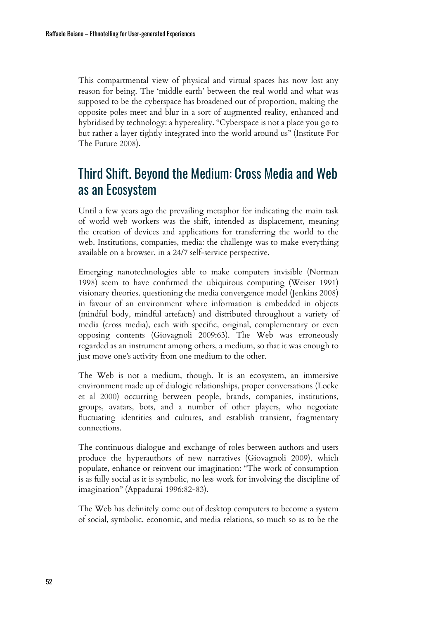This compartmental view of physical and virtual spaces has now lost any reason for being. The 'middle earth' between the real world and what was supposed to be the cyberspace has broadened out of proportion, making the opposite poles meet and blur in a sort of augmented reality, enhanced and hybridised by technology: a hypereality. "Cyberspace is not a place you go to but rather a layer tightly integrated into the world around us" (Institute For The Future 2008).

## Third Shift. Beyond the Medium: Cross Media and Web as an Ecosystem

Until a few years ago the prevailing metaphor for indicating the main task of world web workers was the shift, intended as displacement, meaning the creation of devices and applications for transferring the world to the web. Institutions, companies, media: the challenge was to make everything available on a browser, in a 24/7 self-service perspective.

Emerging nanotechnologies able to make computers invisible (Norman 1998) seem to have confirmed the ubiquitous computing (Weiser 1991) visionary theories, questioning the media convergence model (Jenkins 2008) in favour of an environment where information is embedded in objects (mindful body, mindful artefacts) and distributed throughout a variety of media (cross media), each with specific, original, complementary or even opposing contents (Giovagnoli 2009:63). The Web was erroneously regarded as an instrument among others, a medium, so that it was enough to just move one's activity from one medium to the other.

The Web is not a medium, though. It is an ecosystem, an immersive environment made up of dialogic relationships, proper conversations (Locke et al 2000) occurring between people, brands, companies, institutions, groups, avatars, bots, and a number of other players, who negotiate fluctuating identities and cultures, and establish transient, fragmentary connections.

The continuous dialogue and exchange of roles between authors and users produce the hyperauthors of new narratives (Giovagnoli 2009), which populate, enhance or reinvent our imagination: "The work of consumption is as fully social as it is symbolic, no less work for involving the discipline of imagination" (Appadurai 1996:82-83).

The Web has definitely come out of desktop computers to become a system of social, symbolic, economic, and media relations, so much so as to be the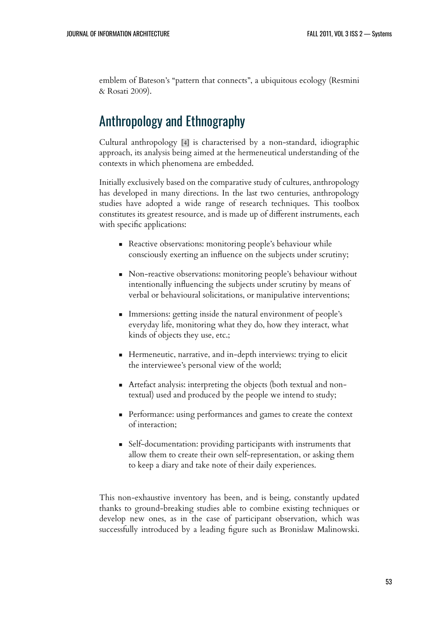emblem of Bateson's "pattern that connects", a ubiquitous ecology (Resmini & Rosati 2009).

## Anthropology and Ethnography

Cultural anthropology [\[4\]](#page--1-3) is characterised by a non-standard, idiographic approach, its analysis being aimed at the hermeneutical understanding of the contexts in which phenomena are embedded.

Initially exclusively based on the comparative study of cultures, anthropology has developed in many directions. In the last two centuries, anthropology studies have adopted a wide range of research techniques. This toolbox constitutes its greatest resource, and is made up of different instruments, each with specific applications:

- Reactive observations: monitoring people's behaviour while consciously exerting an influence on the subjects under scrutiny;
- Non-reactive observations: monitoring people's behaviour without intentionally influencing the subjects under scrutiny by means of verbal or behavioural solicitations, or manipulative interventions;
- Immersions: getting inside the natural environment of people's everyday life, monitoring what they do, how they interact, what kinds of objects they use, etc.;
- Hermeneutic, narrative, and in-depth interviews: trying to elicit the interviewee's personal view of the world;
- Artefact analysis: interpreting the objects (both textual and nontextual) used and produced by the people we intend to study;
- **•** Performance: using performances and games to create the context of interaction;
- Self-documentation: providing participants with instruments that allow them to create their own self-representation, or asking them to keep a diary and take note of their daily experiences.

This non-exhaustive inventory has been, and is being, constantly updated thanks to ground-breaking studies able to combine existing techniques or develop new ones, as in the case of participant observation, which was successfully introduced by a leading figure such as Bronislaw Malinowski.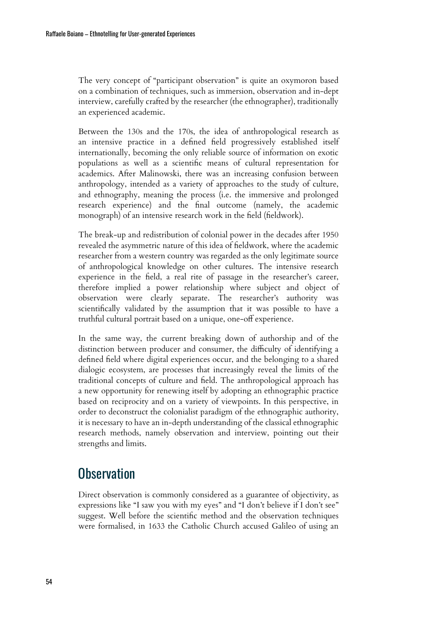The very concept of "participant observation" is quite an oxymoron based on a combination of techniques, such as immersion, observation and in-dept interview, carefully crafted by the researcher (the ethnographer), traditionally an experienced academic.

Between the 130s and the 170s, the idea of anthropological research as an intensive practice in a defined field progressively established itself internationally, becoming the only reliable source of information on exotic populations as well as a scientific means of cultural representation for academics. After Malinowski, there was an increasing confusion between anthropology, intended as a variety of approaches to the study of culture, and ethnography, meaning the process (i.e. the immersive and prolonged research experience) and the final outcome (namely, the academic monograph) of an intensive research work in the field (fieldwork).

The break-up and redistribution of colonial power in the decades after 1950 revealed the asymmetric nature of this idea of fieldwork, where the academic researcher from a western country was regarded as the only legitimate source of anthropological knowledge on other cultures. The intensive research experience in the field, a real rite of passage in the researcher's career, therefore implied a power relationship where subject and object of observation were clearly separate. The researcher's authority was scientifically validated by the assumption that it was possible to have a truthful cultural portrait based on a unique, one-off experience.

In the same way, the current breaking down of authorship and of the distinction between producer and consumer, the difficulty of identifying a defined field where digital experiences occur, and the belonging to a shared dialogic ecosystem, are processes that increasingly reveal the limits of the traditional concepts of culture and field. The anthropological approach has a new opportunity for renewing itself by adopting an ethnographic practice based on reciprocity and on a variety of viewpoints. In this perspective, in order to deconstruct the colonialist paradigm of the ethnographic authority, it is necessary to have an in-depth understanding of the classical ethnographic research methods, namely observation and interview, pointing out their strengths and limits.

## **Observation**

Direct observation is commonly considered as a guarantee of objectivity, as expressions like "I saw you with my eyes" and "I don't believe if I don't see" suggest. Well before the scientific method and the observation techniques were formalised, in 1633 the Catholic Church accused Galileo of using an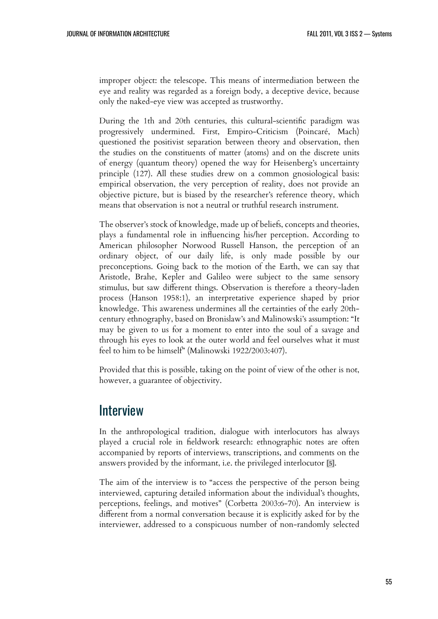improper object: the telescope. This means of intermediation between the eye and reality was regarded as a foreign body, a deceptive device, because only the naked-eye view was accepted as trustworthy.

During the 1th and 20th centuries, this cultural-scientific paradigm was progressively undermined. First, Empiro-Criticism (Poincaré, Mach) questioned the positivist separation between theory and observation, then the studies on the constituents of matter (atoms) and on the discrete units of energy (quantum theory) opened the way for Heisenberg's uncertainty principle (127). All these studies drew on a common gnosiological basis: empirical observation, the very perception of reality, does not provide an objective picture, but is biased by the researcher's reference theory, which means that observation is not a neutral or truthful research instrument.

The observer's stock of knowledge, made up of beliefs, concepts and theories, plays a fundamental role in influencing his/her perception. According to American philosopher Norwood Russell Hanson, the perception of an ordinary object, of our daily life, is only made possible by our preconceptions. Going back to the motion of the Earth, we can say that Aristotle, Brahe, Kepler and Galileo were subject to the same sensory stimulus, but saw different things. Observation is therefore a theory-laden process (Hanson 1958:1), an interpretative experience shaped by prior knowledge. This awareness undermines all the certainties of the early 20thcentury ethnography, based on Bronislaw's and Malinowski's assumption: "It may be given to us for a moment to enter into the soul of a savage and through his eyes to look at the outer world and feel ourselves what it must feel to him to be himself" (Malinowski 1922/2003:407).

Provided that this is possible, taking on the point of view of the other is not, however, a guarantee of objectivity.

#### **Interview**

In the anthropological tradition, dialogue with interlocutors has always played a crucial role in fieldwork research: ethnographic notes are often accompanied by reports of interviews, transcriptions, and comments on the answers provided by the informant, i.e. the privileged interlocutor [\[5\]](#page--1-4).

The aim of the interview is to "access the perspective of the person being interviewed, capturing detailed information about the individual's thoughts, perceptions, feelings, and motives" (Corbetta 2003:6-70). An interview is different from a normal conversation because it is explicitly asked for by the interviewer, addressed to a conspicuous number of non-randomly selected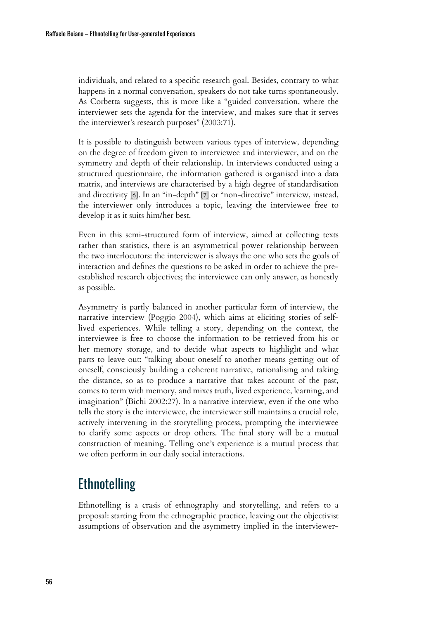individuals, and related to a specific research goal. Besides, contrary to what happens in a normal conversation, speakers do not take turns spontaneously. As Corbetta suggests, this is more like a "guided conversation, where the interviewer sets the agenda for the interview, and makes sure that it serves the interviewer's research purposes" (2003:71).

It is possible to distinguish between various types of interview, depending on the degree of freedom given to interviewee and interviewer, and on the symmetry and depth of their relationship. In interviews conducted using a structured questionnaire, the information gathered is organised into a data matrix, and interviews are characterised by a high degree of standardisation and directivity [\[6\]](#page--1-5). In an "in-depth" [\[7\]](#page--1-6) or "non-directive" interview, instead, the interviewer only introduces a topic, leaving the interviewee free to develop it as it suits him/her best.

Even in this semi-structured form of interview, aimed at collecting texts rather than statistics, there is an asymmetrical power relationship between the two interlocutors: the interviewer is always the one who sets the goals of interaction and defines the questions to be asked in order to achieve the preestablished research objectives; the interviewee can only answer, as honestly as possible.

Asymmetry is partly balanced in another particular form of interview, the narrative interview (Poggio 2004), which aims at eliciting stories of selflived experiences. While telling a story, depending on the context, the interviewee is free to choose the information to be retrieved from his or her memory storage, and to decide what aspects to highlight and what parts to leave out: "talking about oneself to another means getting out of oneself, consciously building a coherent narrative, rationalising and taking the distance, so as to produce a narrative that takes account of the past, comes to term with memory, and mixes truth, lived experience, learning, and imagination" (Bichi 2002:27). In a narrative interview, even if the one who tells the story is the interviewee, the interviewer still maintains a crucial role, actively intervening in the storytelling process, prompting the interviewee to clarify some aspects or drop others. The final story will be a mutual construction of meaning. Telling one's experience is a mutual process that we often perform in our daily social interactions.

## **Ethnotelling**

Ethnotelling is a crasis of ethnography and storytelling, and refers to a proposal: starting from the ethnographic practice, leaving out the objectivist assumptions of observation and the asymmetry implied in the interviewer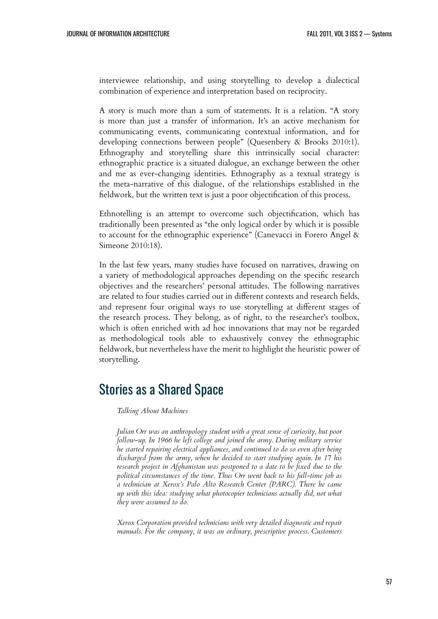interviewee relationship, and using storytelling to develop a dialectical combination of experience and interpretation based on reciprocity.

A story is much more than a sum of statements. It is a relation. "A story is more than just a transfer of information. It's an active mechanism for communicating events, communicating contextual information, and for developing connections between people" (Quesenbery & Brooks 2010:1). Ethnography and storytelling share this intrinsically social character: ethnographic practice is a situated dialogue, an exchange between the other and me as ever-changing identities. Ethnography as a textual strategy is the meta-narrative of this dialogue, of the relationships established in the fieldwork, but the written text is just a poor objectification of this process.

Ethnotelling is an attempt to overcome such objectification, which has traditionally been presented as "the only logical order by which it is possible to account for the ethnographic experience" (Canevacci in Forero Angel & Simeone 2010:18).

In the last few years, many studies have focused on narratives, drawing on a variety of methodological approaches depending on the specific research objectives and the researchers' personal attitudes. The following narratives are related to four studies carried out in different contexts and research fields, and represent four original ways to use storytelling at different stages of the research process. They belong, as of right, to the researcher's toolbox, which is often enriched with ad hoc innovations that may not be regarded as methodological tools able to exhaustively convey the ethnographic fieldwork, but nevertheless have the merit to highlight the heuristic power of storytelling.

### Stories as a Shared Space

#### *Talking About Machines*

*Julian Orr was an anthropology student with a great sense of curiosity, but poor follow-up. In 1966 he left college and joined the army. During military service he started repairing electrical appliances, and continued to do so even after being discharged from the army, when he decided to start studying again. In 17 his research project in Afghanistan was postponed to a date to be fixed due to the political circumstances of the time. Thus Orr went back to his full-time job as a technician at Xerox's Palo Alto Research Center (PARC). There he came up with this idea: studying what photocopier technicians actually did, not what they were assumed to do.*

*Xerox Corporation provided technicians with very detailed diagnostic and repair manuals. For the company, it was an ordinary, prescriptive process. Customers*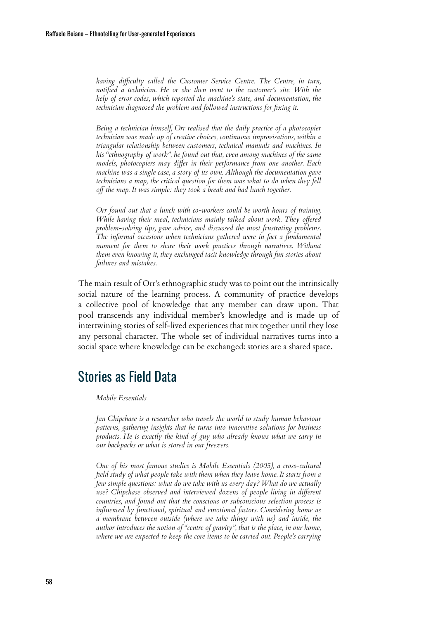*having difficulty called the Customer Service Centre. The Centre, in turn, notified a technician. He or she then went to the customer's site. With the help of error codes, which reported the machine's state, and documentation, the technician diagnosed the problem and followed instructions for fixing it.*

*Being a technician himself, Orr realised that the daily practice of a photocopier technician was made up of creative choices, continuous improvisations, within a triangular relationship between customers, technical manuals and machines. In his "ethnography of work", he found out that, even among machines of the same models, photocopiers may differ in their performance from one another. Each machine was a single case, a story of its own. Although the documentation gave technicians a map, the critical question for them was what to do when they fell off the map. It was simple: they took a break and had lunch together.*

*Orr found out that a lunch with co-workers could be worth hours of training. While having their meal, technicians mainly talked about work. They offered problem-solving tips, gave advice, and discussed the most frustrating problems. The informal occasions when technicians gathered were in fact a fundamental moment for them to share their work practices through narratives. Without them even knowing it, they exchanged tacit knowledge through fun stories about failures and mistakes.*

The main result of Orr's ethnographic study was to point out the intrinsically social nature of the learning process. A community of practice develops a collective pool of knowledge that any member can draw upon. That pool transcends any individual member's knowledge and is made up of intertwining stories of self-lived experiences that mix together until they lose any personal character. The whole set of individual narratives turns into a social space where knowledge can be exchanged: stories are a shared space.

### Stories as Field Data

#### *Mobile Essentials*

*Jan Chipchase is a researcher who travels the world to study human behaviour patterns, gathering insights that he turns into innovative solutions for business products. He is exactly the kind of guy who already knows what we carry in our backpacks or what is stored in our freezers.*

*One of his most famous studies is Mobile Essentials (2005), a cross-cultural field study of what people take with them when they leave home. It starts from a few simple questions: what do we take with us every day? What do we actually use? Chipchase observed and interviewed dozens of people living in different countries, and found out that the conscious or subconscious selection process is influenced by functional, spiritual and emotional factors. Considering home as a membrane between outside (where we take things with us) and inside, the author introduces the notion of "centre of gravity", that is the place, in our home, where we are expected to keep the core items to be carried out. People's carrying*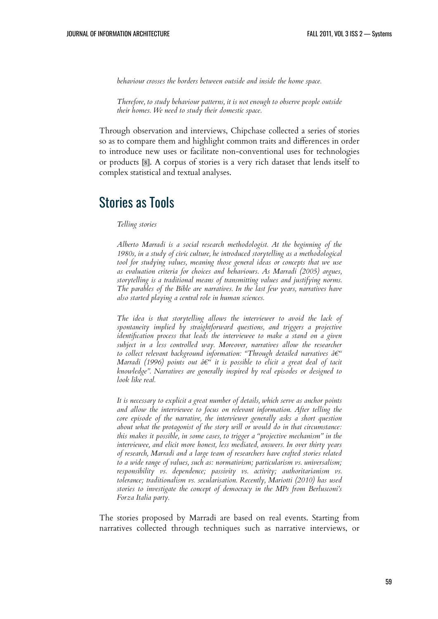*behaviour crosses the borders between outside and inside the home space.*

*Therefore, to study behaviour patterns, it is not enough to observe people outside their homes. We need to study their domestic space.*

Through observation and interviews, Chipchase collected a series of stories so as to compare them and highlight common traits and differences in order to introduce new uses or facilitate non-conventional uses for technologies or products [\[8\]](#page--1-7). A corpus of stories is a very rich dataset that lends itself to complex statistical and textual analyses.

#### Stories as Tools

#### *Telling stories*

*Alberto Marradi is a social research methodologist. At the beginning of the 1980s, in a study of civic culture, he introduced storytelling as a methodological tool for studying values, meaning those general ideas or concepts that we use as evaluation criteria for choices and behaviours. As Marradi (2005) argues, storytelling is a traditional means of transmitting values and justifying norms. The parables of the Bible are narratives. In the last few years, narratives have also started playing a central role in human sciences.*

*The idea is that storytelling allows the interviewer to avoid the lack of spontaneity implied by straightforward questions, and triggers a projective identification process that leads the interviewee to make a stand on a given subject in a less controlled way. Moreover, narratives allow the researcher* to collect relevant background information: "Through detailed narratives â<sup>e"</sup> *Marradi (1996) points out*  $\hat{a} \in \hat{a}$  *it is possible to elicit a great deal of tacit knowledge". Narratives are generally inspired by real episodes or designed to look like real.*

*It is necessary to explicit a great number of details, which serve as anchor points and allow the interviewee to focus on relevant information. After telling the core episode of the narrative, the interviewer generally asks a short question about what the protagonist of the story will or would do in that circumstance: this makes it possible, in some cases, to trigger a "projective mechanism" in the interviewee, and elicit more honest, less mediated, answers. In over thirty years of research, Marradi and a large team of researchers have crafted stories related to a wide range of values, such as: normativism; particularism vs. universalism; responsibility vs. dependence; passivity vs. activity; authoritarianism vs. tolerance; traditionalism vs. secularisation. Recently, Mariotti (2010) has used stories to investigate the concept of democracy in the MPs from Berlusconi's Forza Italia party.*

The stories proposed by Marradi are based on real events. Starting from narratives collected through techniques such as narrative interviews, or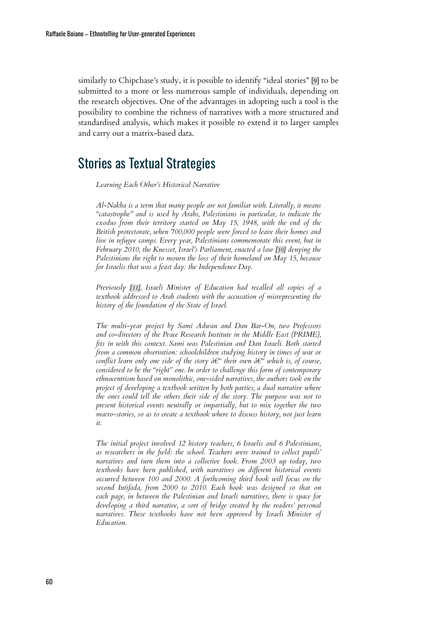similarly to Chipchase's study, it is possible to identify "ideal stories" [\[9\]](#page--1-8) to be submitted to a more or less numerous sample of individuals, depending on the research objectives. One of the advantages in adopting such a tool is the possibility to combine the richness of narratives with a more structured and standardised analysis, which makes it possible to extend it to larger samples and carry out a matrix-based data.

### Stories as Textual Strategies

*Learning Each Other's Historical Narrative*

*Al-Nakba is a term that many people are not familiar with. Literally, it means "catastrophe" and is used by Arabs, Palestinians in particular, to indicate the exodus from their territory started on May 15, 1948, with the end of the British protectorate, when 700,000 people were forced to leave their homes and live in refugee camps. Every year, Palestinians commemorate this event, but in February 2010, the Knesset, Israel's Parliament, enacted a law [\[10\]](#page--1-9) denying the Palestinians the right to mourn the loss of their homeland on May 15, because for Israelis that was a feast day: the Independence Day.*

*Previously [\[11\]](#page--1-10), Israeli Minister of Education had recalled all copies of a textbook addressed to Arab students with the accusation of misrepresenting the history of the foundation of the State of Israel.*

*The multi-year project by Sami Adwan and Dan Bar-On, two Professors and co-directors of the Peace Research Institute in the Middle East (PRIME), fits in with this context. Sami was Palestinian and Dan Israeli. Both started from a common observation: schoolchildren studying history in times of war or conflict learn only one side of the story*  $d\epsilon^u$  *their own*  $d\epsilon^u$  *which is, of course, considered to be the "right" one. In order to challenge this form of contemporary ethnocentrism based on monolithic, one-sided narratives, the authors took on the project of developing a textbook written by both parties, a dual narrative where the ones could tell the others their side of the story. The purpose was not to present historical events neutrally or impartially, but to mix together the two macro-stories, so as to create a textbook where to discuss history, not just learn it.*

*The initial project involved 12 history teachers, 6 Israelis and 6 Palestinians, as researchers in the field: the school. Teachers were trained to collect pupils' narratives and turn them into a collective book. From 2003 up today, two textbooks have been published, with narratives on different historical events occurred between 100 and 2000. A forthcoming third book will focus on the second Intifada, from 2000 to 2010. Each book was designed so that on each page, in between the Palestinian and Israeli narratives, there is space for developing a third narrative, a sort of bridge created by the readers' personal narratives. These textbooks have not been approved by Israeli Minister of Education.*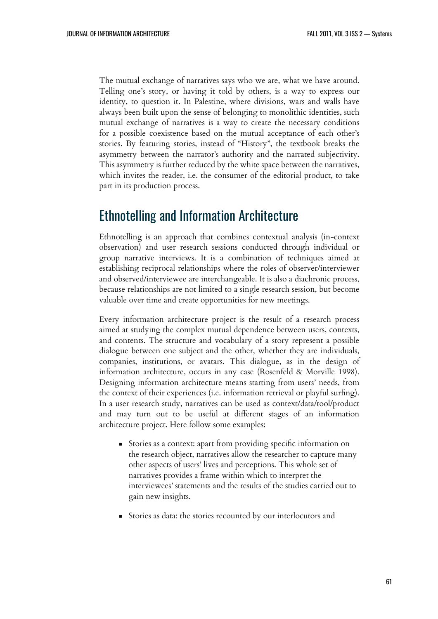The mutual exchange of narratives says who we are, what we have around. Telling one's story, or having it told by others, is a way to express our identity, to question it. In Palestine, where divisions, wars and walls have always been built upon the sense of belonging to monolithic identities, such mutual exchange of narratives is a way to create the necessary conditions for a possible coexistence based on the mutual acceptance of each other's stories. By featuring stories, instead of "History", the textbook breaks the asymmetry between the narrator's authority and the narrated subjectivity. This asymmetry is further reduced by the white space between the narratives, which invites the reader, i.e. the consumer of the editorial product, to take part in its production process.

#### Ethnotelling and Information Architecture

Ethnotelling is an approach that combines contextual analysis (in-context observation) and user research sessions conducted through individual or group narrative interviews. It is a combination of techniques aimed at establishing reciprocal relationships where the roles of observer/interviewer and observed/interviewee are interchangeable. It is also a diachronic process, because relationships are not limited to a single research session, but become valuable over time and create opportunities for new meetings.

Every information architecture project is the result of a research process aimed at studying the complex mutual dependence between users, contexts, and contents. The structure and vocabulary of a story represent a possible dialogue between one subject and the other, whether they are individuals, companies, institutions, or avatars. This dialogue, as in the design of information architecture, occurs in any case (Rosenfeld & Morville 1998). Designing information architecture means starting from users' needs, from the context of their experiences (i.e. information retrieval or playful surfing). In a user research study, narratives can be used as context/data/tool/product and may turn out to be useful at different stages of an information architecture project. Here follow some examples:

- Stories as a context: apart from providing specific information on the research object, narratives allow the researcher to capture many other aspects of users' lives and perceptions. This whole set of narratives provides a frame within which to interpret the interviewees' statements and the results of the studies carried out to gain new insights.
- Stories as data: the stories recounted by our interlocutors and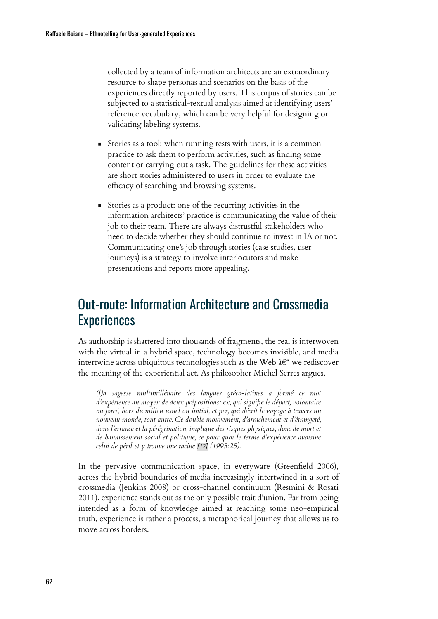collected by a team of information architects are an extraordinary resource to shape personas and scenarios on the basis of the experiences directly reported by users. This corpus of stories can be subjected to a statistical-textual analysis aimed at identifying users' reference vocabulary, which can be very helpful for designing or validating labeling systems.

- Stories as a tool: when running tests with users, it is a common practice to ask them to perform activities, such as finding some content or carrying out a task. The guidelines for these activities are short stories administered to users in order to evaluate the efficacy of searching and browsing systems.
- Stories as a product: one of the recurring activities in the information architects' practice is communicating the value of their job to their team. There are always distrustful stakeholders who need to decide whether they should continue to invest in IA or not. Communicating one's job through stories (case studies, user journeys) is a strategy to involve interlocutors and make presentations and reports more appealing.

## Out-route: Information Architecture and Crossmedia **Experiences**

As authorship is shattered into thousands of fragments, the real is interwoven with the virtual in a hybrid space, technology becomes invisible, and media intertwine across ubiquitous technologies such as the Web  $\hat{a}\in\hat{C}$  we rediscover the meaning of the experiential act. As philosopher Michel Serres argues,

*(l)a sagesse multimillénaire des langues gréco-latines a formé ce mot d'expérience au moyen de deux prépositions: ex, qui signifie le départ, volontaire ou forcé, hors du milieu usuel ou initial, et per, qui décrit le voyage à travers un nouveau monde, tout autre. Ce double mouvement, d'arrachement et d'étrangeté, dans l'errance et la pérégrination, implique des risques physiques, donc de mort et de bannissement social et politique, ce pour quoi le terme d'expérience avoisine celui de péril et y trouve une racine [\[12\]](#page--1-11) (1995:25).*

In the pervasive communication space, in everyware (Greenfield 2006), across the hybrid boundaries of media increasingly intertwined in a sort of crossmedia (Jenkins 2008) or cross-channel continuum (Resmini & Rosati 2011), experience stands out as the only possible trait d'union. Far from being intended as a form of knowledge aimed at reaching some neo-empirical truth, experience is rather a process, a metaphorical journey that allows us to move across borders.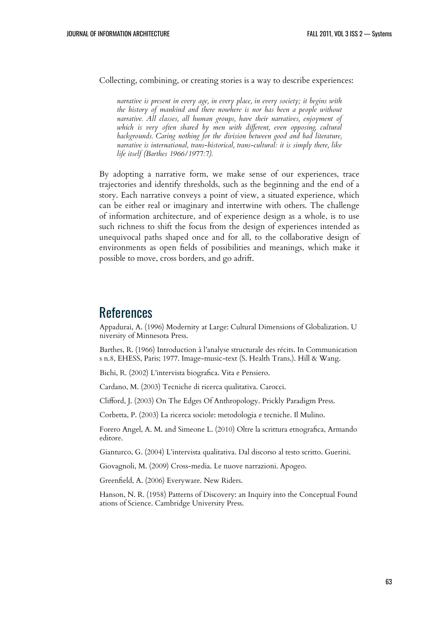Collecting, combining, or creating stories is a way to describe experiences:

*narrative is present in every age, in every place, in every society; it begins with the history of mankind and there nowhere is nor has been a people without narrative. All classes, all human groups, have their narratives, enjoyment of which is very often shared by men with different, even opposing, cultural backgrounds. Caring nothing for the division between good and bad literature, narrative is international, trans-historical, trans-cultural: it is simply there, like life itself (Barthes 1966/1977:7).*

By adopting a narrative form, we make sense of our experiences, trace trajectories and identify thresholds, such as the beginning and the end of a story. Each narrative conveys a point of view, a situated experience, which can be either real or imaginary and intertwine with others. The challenge of information architecture, and of experience design as a whole, is to use such richness to shift the focus from the design of experiences intended as unequivocal paths shaped once and for all, to the collaborative design of environments as open fields of possibilities and meanings, which make it possible to move, cross borders, and go adrift.

#### References

Appadurai, A. (1996) Modernity at Large: Cultural Dimensions of Globalization. U niversity of Minnesota Press.

Barthes, R. (1966) Introduction à l'analyse structurale des récits. In Communication s n.8, EHESS, Paris; 1977. Image-music-text (S. Health Trans.). Hill & Wang.

Bichi, R. (2002) L'intervista biografica. Vita e Pensiero.

Cardano, M. (2003) Tecniche di ricerca qualitativa. Carocci.

Clifford, J. (2003) On The Edges Of Anthropology. Prickly Paradigm Press.

Corbetta, P. (2003) La ricerca sociole: metodologia e tecniche. Il Mulino.

Forero Angel, A. M. and Simeone L. (2010) Oltre la scrittura etnografica, Armando editore.

Gianturco, G. (2004) L'intervista qualitativa. Dal discorso al testo scritto. Guerini.

Giovagnoli, M. (2009) Cross-media. Le nuove narrazioni. Apogeo.

Greenfield, A. (2006) Everyware. New Riders.

Hanson, N. R. (1958) Patterns of Discovery: an Inquiry into the Conceptual Found ations of Science. Cambridge University Press.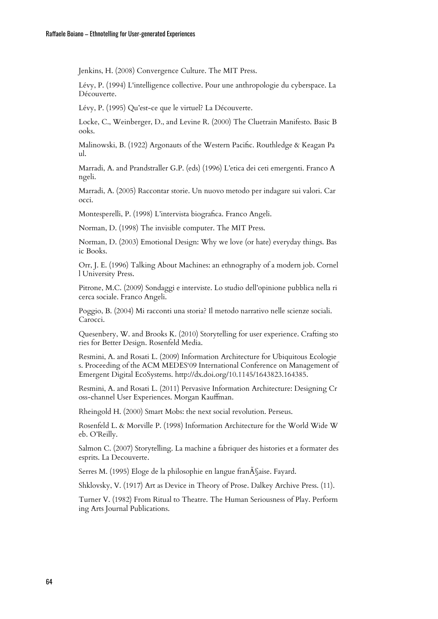Jenkins, H. (2008) Convergence Culture. The MIT Press.

Lévy, P. (1994) L'intelligence collective. Pour une anthropologie du cyberspace. La Découverte.

Lévy, P. (1995) Qu'est-ce que le virtuel? La Découverte.

Locke, C., Weinberger, D., and Levine R. (2000) The Cluetrain Manifesto. Basic B ooks.

Malinowski, B. (1922) Argonauts of the Western Pacific. Routhledge & Keagan Pa ul.

Marradi, A. and Prandstraller G.P. (eds) (1996) L'etica dei ceti emergenti. Franco A ngeli.

Marradi, A. (2005) Raccontar storie. Un nuovo metodo per indagare sui valori. Car occi.

Montesperelli, P. (1998) L'intervista biografica. Franco Angeli.

Norman, D. (1998) The invisible computer. The MIT Press.

Norman, D. (2003) Emotional Design: Why we love (or hate) everyday things. Bas ic Books.

Orr, J. E. (1996) Talking About Machines: an ethnography of a modern job. Cornel l University Press.

Pitrone, M.C. (2009) Sondaggi e interviste. Lo studio dell'opinione pubblica nella ri cerca sociale. Franco Angeli.

Poggio, B. (2004) Mi racconti una storia? Il metodo narrativo nelle scienze sociali. Carocci.

Quesenbery, W. and Brooks K. (2010) Storytelling for user experience. Crafting sto ries for Better Design. Rosenfeld Media.

Resmini, A. and Rosati L. (2009) Information Architecture for Ubiquitous Ecologie s. Proceeding of the ACM MEDES'09 International Conference on Management of Emergent Digital EcoSystems. http://dx.doi.org/10.1145/1643823.164385.

Resmini, A. and Rosati L. (2011) Pervasive Information Architecture: Designing Cr oss-channel User Experiences. Morgan Kauffman.

Rheingold H. (2000) Smart Mobs: the next social revolution. Perseus.

Rosenfeld L. & Morville P. (1998) Information Architecture for the World Wide W eb. O'Reilly.

Salmon C. (2007) Storytelling. La machine a fabriquer des histories et a formater des esprits. La Decouverte.

Serres M. (1995) Eloge de la philosophie en langue fran§aise. Fayard.

Shklovsky, V. (1917) Art as Device in Theory of Prose. Dalkey Archive Press. (11).

Turner V. (1982) From Ritual to Theatre. The Human Seriousness of Play. Perform ing Arts Journal Publications.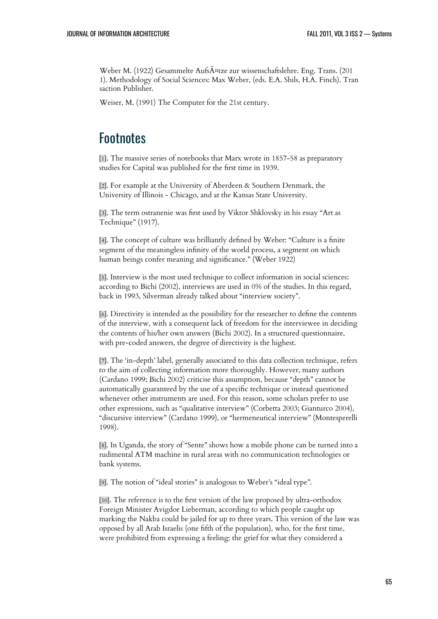Weber M. (1922) Gesammelte Aufsätze zur wissenschaftslehre. Eng. Trans. (201 1). Methodology of Social Sciences: Max Weber, (eds. E.A. Shils, H.A. Finch). Tran saction Publisher.

Weiser, M. (1991) The Computer for the 21st century.

### **Footnotes**

[1]. The massive series of notebooks that Marx wrote in 1857-58 as preparatory studies for Capital was published for the first time in 1939.

[2]. For example at the University of Aberdeen & Southern Denmark, the University of Illinois - Chicago, and at the Kansas State University.

[3]. The term ostranenie was first used by Viktor Shklovsky in his essay "Art as Technique" (1917).

[4]. The concept of culture was brilliantly defined by Weber: "Culture is a finite segment of the meaningless infinity of the world process, a segment on which human beings confer meaning and significance." (Weber 1922)

[5]. Interview is the most used technique to collect information in social sciences: according to Bichi (2002), interviews are used in 0% of the studies. In this regard, back in 1993, Silverman already talked about "interview society".

[6]. Directivity is intended as the possibility for the researcher to define the contents of the interview, with a consequent lack of freedom for the interviewee in deciding the contents of his/her own answers (Bichi 2002). In a structured questionnaire, with pre-coded answers, the degree of directivity is the highest.

[7]. The 'in-depth' label, generally associated to this data collection technique, refers to the aim of collecting information more thoroughly. However, many authors (Cardano 1999; Bichi 2002) criticise this assumption, because "depth" cannot be automatically guaranteed by the use of a specific technique or instead questioned whenever other instruments are used. For this reason, some scholars prefer to use other expressions, such as "qualitative interview" (Corbetta 2003; Gianturco 2004), "discursive interview" (Cardano 1999), or "hermeneutical interview" (Montesperelli 1998).

[8]. In Uganda, the story of "Sente" shows how a mobile phone can be turned into a rudimental ATM machine in rural areas with no communication technologies or bank systems.

[9]. The notion of "ideal stories" is analogous to Weber's "ideal type".

[10]. The reference is to the first version of the law proposed by ultra-orthodox Foreign Minister Avigdor Lieberman, according to which people caught up marking the Nakba could be jailed for up to three years. This version of the law was opposed by all Arab Israelis (one fifth of the population), who, for the first time, were prohibited from expressing a feeling: the grief for what they considered a